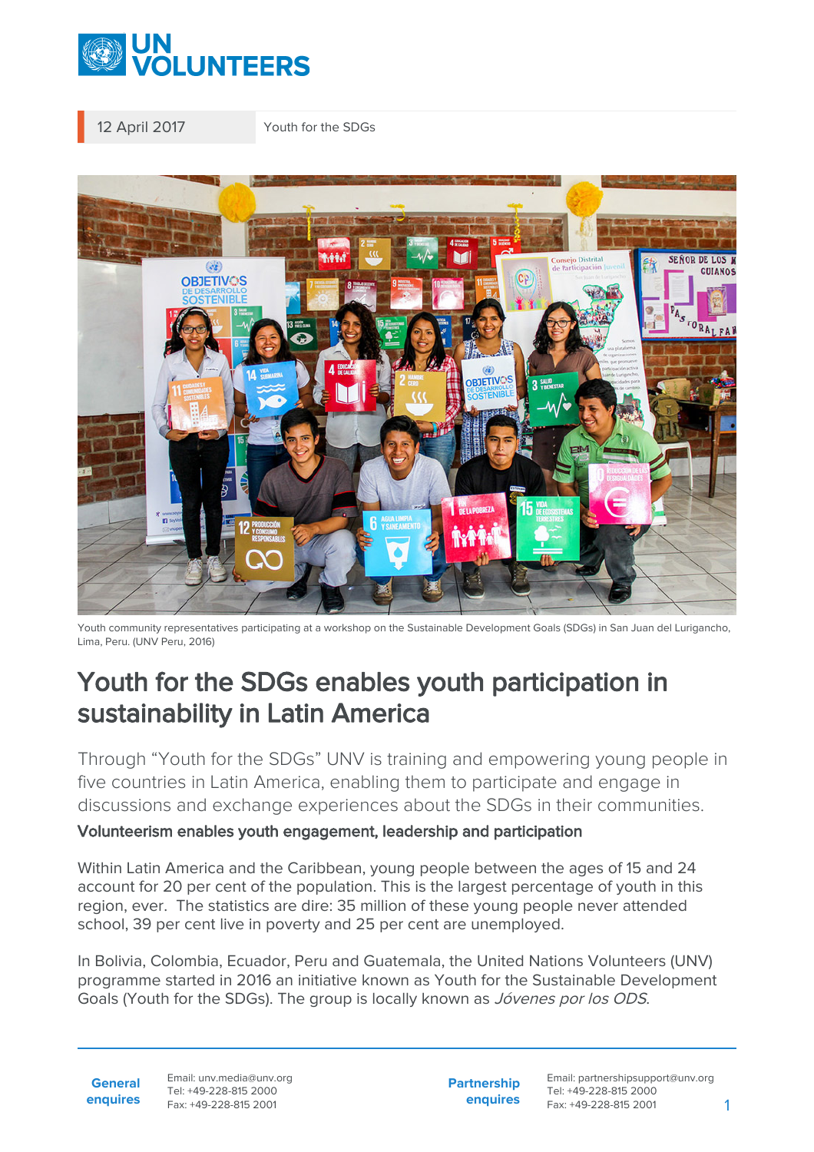

12 April 2017 Youth for the SDGs



Youth community representatives participating at a workshop on the Sustainable Development Goals (SDGs) in San Juan del Lurigancho, Lima, Peru. (UNV Peru, 2016)

## Youth for the SDGs enables youth participation in sustainability in Latin America

Through "Youth for the SDGs" UNV is training and empowering young people in five countries in Latin America, enabling them to participate and engage in discussions and exchange experiences about the SDGs in their communities.

## Volunteerism enables youth engagement, leadership and participation

Within Latin America and the Caribbean, young people between the ages of 15 and 24 account for 20 per cent of the population. This is the largest percentage of youth in this region, ever. The statistics are dire: 35 million of these young people never attended school, 39 per cent live in poverty and 25 per cent are unemployed.

In Bolivia, Colombia, Ecuador, Peru and Guatemala, the United Nations Volunteers (UNV) programme started in 2016 an initiative known as Youth for the Sustainable Development Goals (Youth for the SDGs). The group is locally known as *Jóvenes por los ODS*.

**General enquires**

Email: unv.media@unv.org Tel: +49-228-815 2000 Fax: +49-228-815 2001

**Partnership enquires** Email: partnershipsupport@unv.org Tel: +49-228-815 2000 Fax: +49-228-815 2001 1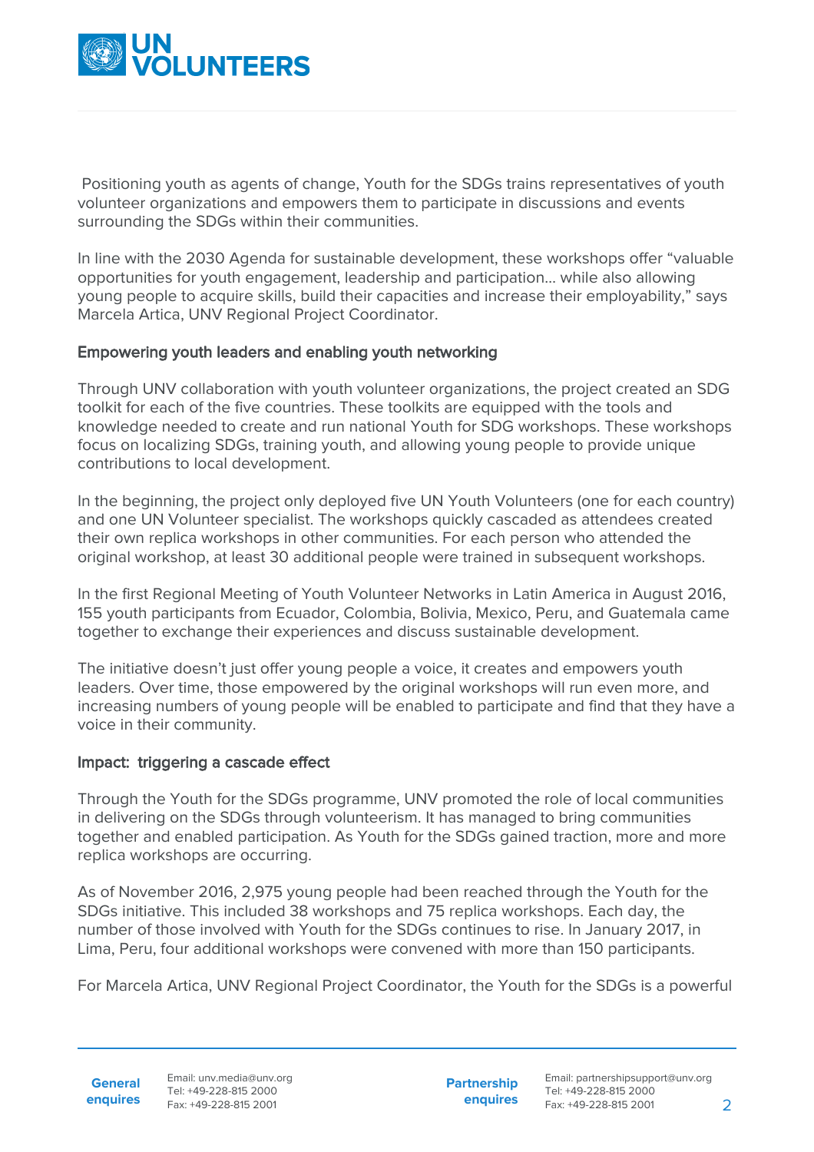

 Positioning youth as agents of change, Youth for the SDGs trains representatives of youth volunteer organizations and empowers them to participate in discussions and events surrounding the SDGs within their communities.

In line with the 2030 Agenda for sustainable development, these workshops offer "valuable opportunities for youth engagement, leadership and participation… while also allowing young people to acquire skills, build their capacities and increase their employability," says Marcela Artica, UNV Regional Project Coordinator.

## Empowering youth leaders and enabling youth networking

Through UNV collaboration with youth volunteer organizations, the project created an SDG toolkit for each of the five countries. These toolkits are equipped with the tools and knowledge needed to create and run national Youth for SDG workshops. These workshops focus on localizing SDGs, training youth, and allowing young people to provide unique contributions to local development.

In the beginning, the project only deployed five UN Youth Volunteers (one for each country) and one UN Volunteer specialist. The workshops quickly cascaded as attendees created their own replica workshops in other communities. For each person who attended the original workshop, at least 30 additional people were trained in subsequent workshops.

In the first Regional Meeting of Youth Volunteer Networks in Latin America in August 2016, 155 youth participants from Ecuador, Colombia, Bolivia, Mexico, Peru, and Guatemala came together to exchange their experiences and discuss sustainable development.

The initiative doesn't just offer young people a voice, it creates and empowers youth leaders. Over time, those empowered by the original workshops will run even more, and increasing numbers of young people will be enabled to participate and find that they have a voice in their community.

## Impact: triggering a cascade effect

Through the Youth for the SDGs programme, UNV promoted the role of local communities in delivering on the SDGs through volunteerism. It has managed to bring communities together and enabled participation. As Youth for the SDGs gained traction, more and more replica workshops are occurring.

As of November 2016, 2,975 young people had been reached through the Youth for the SDGs initiative. This included 38 workshops and 75 replica workshops. Each day, the number of those involved with Youth for the SDGs continues to rise. In January 2017, in Lima, Peru, four additional workshops were convened with more than 150 participants.

For Marcela Artica, UNV Regional Project Coordinator, the Youth for the SDGs is a powerful

**General enquires** **Partnership enquires**